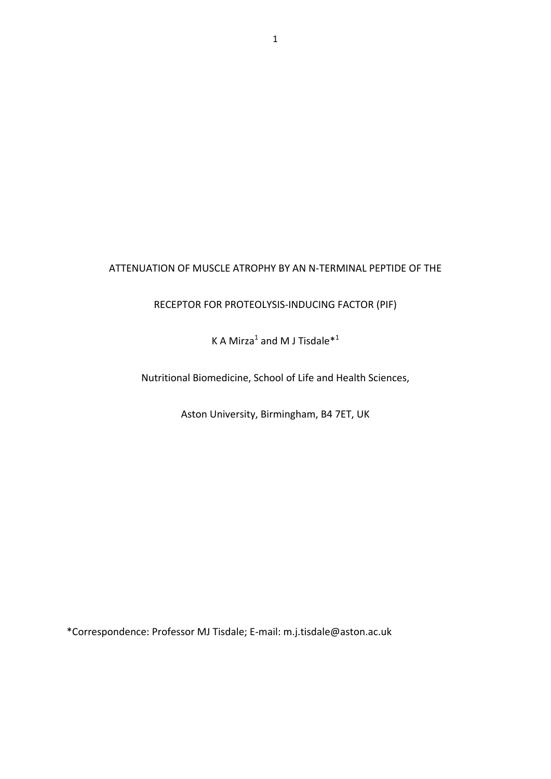# ATTENUATION OF MUSCLE ATROPHY BY AN N‐TERMINAL PEPTIDE OF THE

RECEPTOR FOR PROTEOLYSIS‐INDUCING FACTOR (PIF)

K A Mirza<sup>1</sup> and M J Tisdale<sup>\*1</sup>

Nutritional Biomedicine, School of Life and Health Sciences,

Aston University, Birmingham, B4 7ET, UK

\*Correspondence: Professor MJ Tisdale; E‐mail: m.j.tisdale@aston.ac.uk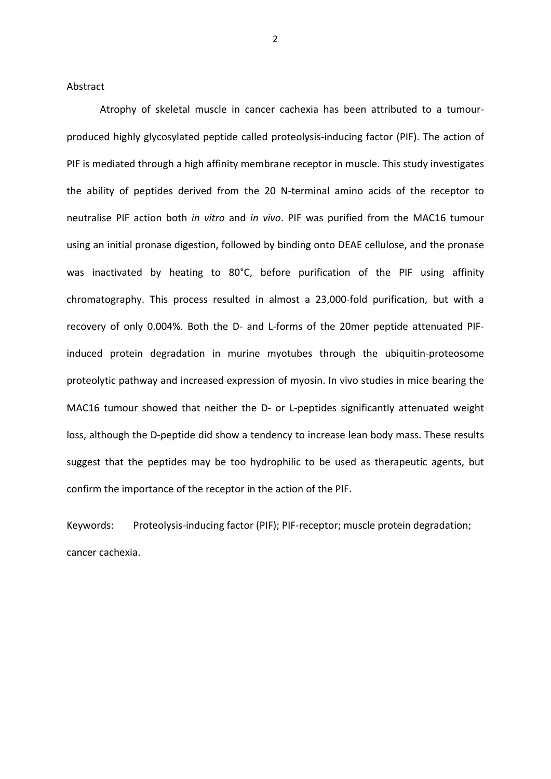Abstract

Atrophy of skeletal muscle in cancer cachexia has been attributed to a tumour‐ produced highly glycosylated peptide called proteolysis‐inducing factor (PIF). The action of PIF is mediated through a high affinity membrane receptor in muscle. This study investigates the ability of peptides derived from the 20 N‐terminal amino acids of the receptor to neutralise PIF action both *in vitro* and *in vivo*. PIF was purified from the MAC16 tumour using an initial pronase digestion, followed by binding onto DEAE cellulose, and the pronase was inactivated by heating to 80°C, before purification of the PIF using affinity chromatography. This process resulted in almost a 23,000‐fold purification, but with a recovery of only 0.004%. Both the D‐ and L‐forms of the 20mer peptide attenuated PIF‐ induced protein degradation in murine myotubes through the ubiquitin-proteosome proteolytic pathway and increased expression of myosin. In vivo studies in mice bearing the MAC16 tumour showed that neither the D- or L-peptides significantly attenuated weight loss, although the D-peptide did show a tendency to increase lean body mass. These results suggest that the peptides may be too hydrophilic to be used as therapeutic agents, but confirm the importance of the receptor in the action of the PIF.

Keywords: Proteolysis-inducing factor (PIF); PIF-receptor; muscle protein degradation; cancer cachexia.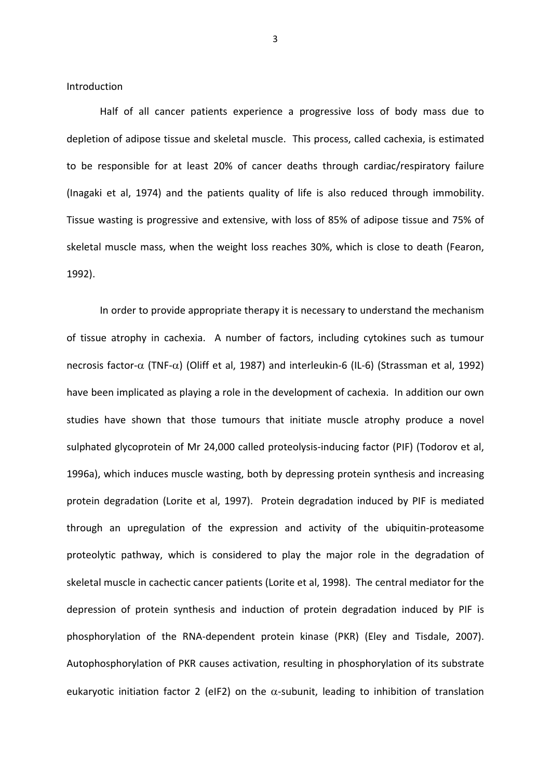Introduction

Half of all cancer patients experience a progressive loss of body mass due to depletion of adipose tissue and skeletal muscle. This process, called cachexia, is estimated to be responsible for at least 20% of cancer deaths through cardiac/respiratory failure (Inagaki et al, 1974) and the patients quality of life is also reduced through immobility. Tissue wasting is progressive and extensive, with loss of 85% of adipose tissue and 75% of skeletal muscle mass, when the weight loss reaches 30%, which is close to death (Fearon, 1992).

In order to provide appropriate therapy it is necessary to understand the mechanism of tissue atrophy in cachexia. A number of factors, including cytokines such as tumour necrosis factor- $\alpha$  (TNF- $\alpha$ ) (Oliff et al, 1987) and interleukin-6 (IL-6) (Strassman et al, 1992) have been implicated as playing a role in the development of cachexia. In addition our own studies have shown that those tumours that initiate muscle atrophy produce a novel sulphated glycoprotein of Mr 24,000 called proteolysis-inducing factor (PIF) (Todorov et al, 1996a), which induces muscle wasting, both by depressing protein synthesis and increasing protein degradation (Lorite et al, 1997). Protein degradation induced by PIF is mediated through an upregulation of the expression and activity of the ubiquitin‐proteasome proteolytic pathway, which is considered to play the major role in the degradation of skeletal muscle in cachectic cancer patients (Lorite et al, 1998). The central mediator for the depression of protein synthesis and induction of protein degradation induced by PIF is phosphorylation of the RNA‐dependent protein kinase (PKR) (Eley and Tisdale, 2007). Autophosphorylation of PKR causes activation, resulting in phosphorylation of its substrate eukaryotic initiation factor 2 (eIF2) on the  $\alpha$ -subunit, leading to inhibition of translation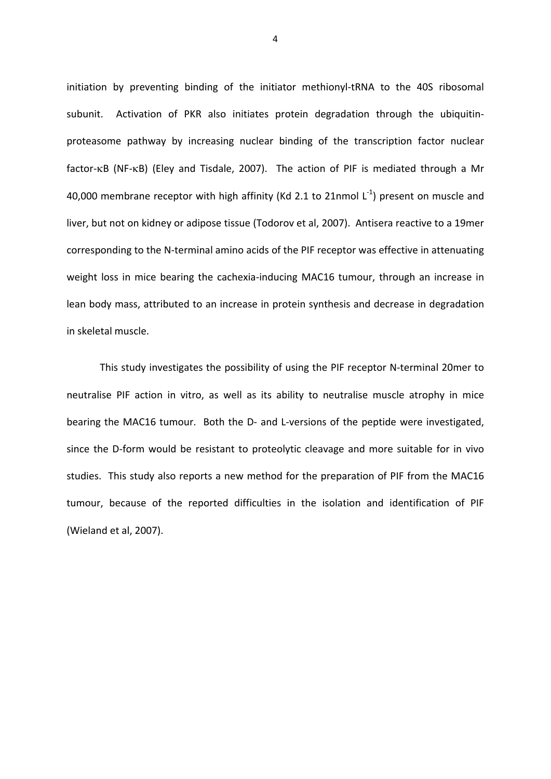initiation by preventing binding of the initiator methionyl-tRNA to the 40S ribosomal subunit. Activation of PKR also initiates protein degradation through the ubiquitinproteasome pathway by increasing nuclear binding of the transcription factor nuclear factor- $\kappa$ B (NF- $\kappa$ B) (Eley and Tisdale, 2007). The action of PIF is mediated through a Mr 40,000 membrane receptor with high affinity (Kd 2.1 to 21nmol  $L^{-1}$ ) present on muscle and liver, but not on kidney or adipose tissue (Todorov et al, 2007). Antisera reactive to a 19mer corresponding to the N‐terminal amino acids of the PIF receptor was effective in attenuating weight loss in mice bearing the cachexia-inducing MAC16 tumour, through an increase in lean body mass, attributed to an increase in protein synthesis and decrease in degradation in skeletal muscle.

This study investigates the possibility of using the PIF receptor N‐terminal 20mer to neutralise PIF action in vitro, as well as its ability to neutralise muscle atrophy in mice bearing the MAC16 tumour. Both the D- and L-versions of the peptide were investigated, since the D-form would be resistant to proteolytic cleavage and more suitable for in vivo studies. This study also reports a new method for the preparation of PIF from the MAC16 tumour, because of the reported difficulties in the isolation and identification of PIF (Wieland et al, 2007).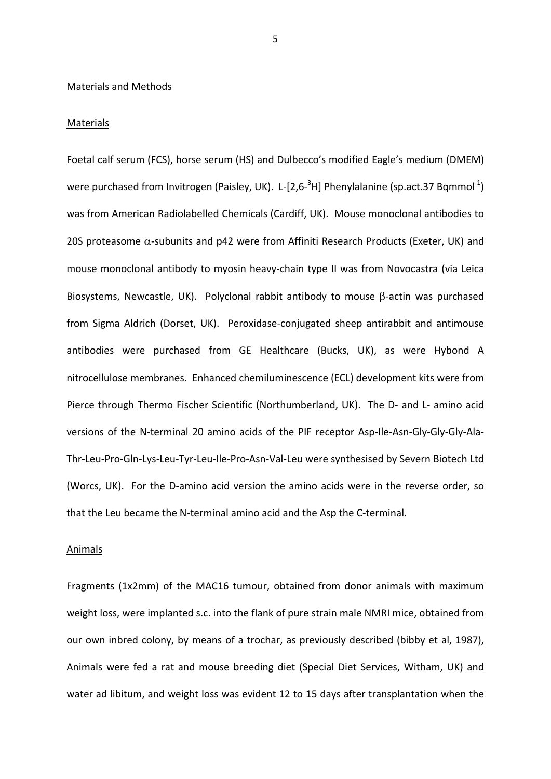# Materials and Methods

#### **Materials**

Foetal calf serum (FCS), horse serum (HS) and Dulbecco's modified Eagle's medium (DMEM) were purchased from Invitrogen (Paisley, UK). L-[2,6-<sup>3</sup>H] Phenylalanine (sp.act.37 Bqmmol<sup>-1</sup>) was from American Radiolabelled Chemicals (Cardiff, UK). Mouse monoclonal antibodies to 20S proteasome  $\alpha$ -subunits and p42 were from Affiniti Research Products (Exeter, UK) and mouse monoclonal antibody to myosin heavy-chain type II was from Novocastra (via Leica Biosystems, Newcastle, UK). Polyclonal rabbit antibody to mouse  $\beta$ -actin was purchased from Sigma Aldrich (Dorset, UK). Peroxidase-conjugated sheep antirabbit and antimouse antibodies were purchased from GE Healthcare (Bucks, UK), as were Hybond A nitrocellulose membranes. Enhanced chemiluminescence (ECL) development kits were from Pierce through Thermo Fischer Scientific (Northumberland, UK). The D- and L- amino acid versions of the N-terminal 20 amino acids of the PIF receptor Asp-Ile-Asn-Gly-Gly-Gly-Ala-Thr‐Leu‐Pro‐Gln‐Lys‐Leu‐Tyr‐Leu‐Ile‐Pro‐Asn‐Val‐Leu were synthesised by Severn Biotech Ltd (Worcs, UK). For the D-amino acid version the amino acids were in the reverse order, so that the Leu became the N‐terminal amino acid and the Asp the C‐terminal.

#### Animals

Fragments (1x2mm) of the MAC16 tumour, obtained from donor animals with maximum weight loss, were implanted s.c. into the flank of pure strain male NMRI mice, obtained from our own inbred colony, by means of a trochar, as previously described (bibby et al, 1987), Animals were fed a rat and mouse breeding diet (Special Diet Services, Witham, UK) and water ad libitum, and weight loss was evident 12 to 15 days after transplantation when the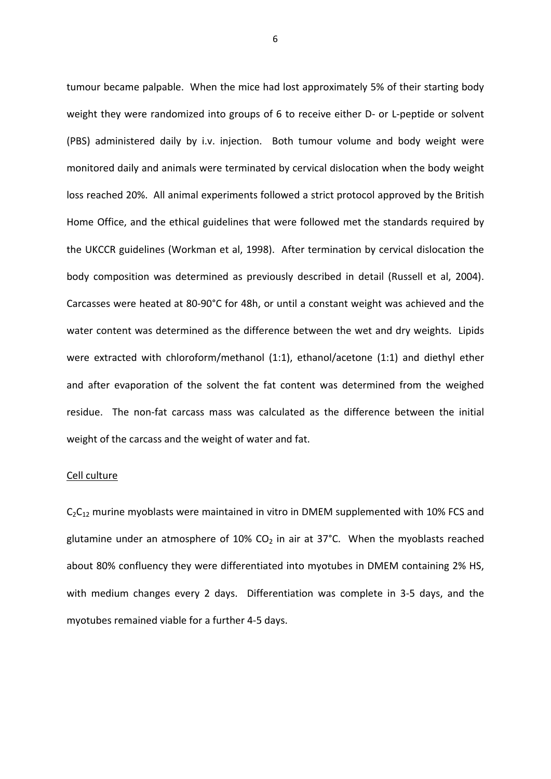tumour became palpable. When the mice had lost approximately 5% of their starting body weight they were randomized into groups of 6 to receive either D- or L-peptide or solvent (PBS) administered daily by i.v. injection. Both tumour volume and body weight were monitored daily and animals were terminated by cervical dislocation when the body weight loss reached 20%. All animal experiments followed a strict protocol approved by the British Home Office, and the ethical guidelines that were followed met the standards required by the UKCCR guidelines (Workman et al, 1998). After termination by cervical dislocation the body composition was determined as previously described in detail (Russell et al, 2004). Carcasses were heated at 80‐90°C for 48h, or until a constant weight was achieved and the water content was determined as the difference between the wet and dry weights. Lipids were extracted with chloroform/methanol (1:1), ethanol/acetone (1:1) and diethyl ether and after evaporation of the solvent the fat content was determined from the weighed residue. The non-fat carcass mass was calculated as the difference between the initial weight of the carcass and the weight of water and fat.

### Cell culture

 $C_2C_{12}$  murine myoblasts were maintained in vitro in DMEM supplemented with 10% FCS and glutamine under an atmosphere of  $10\%$  CO<sub>2</sub> in air at 37°C. When the myoblasts reached about 80% confluency they were differentiated into myotubes in DMEM containing 2% HS, with medium changes every 2 days. Differentiation was complete in 3-5 days, and the myotubes remained viable for a further 4‐5 days.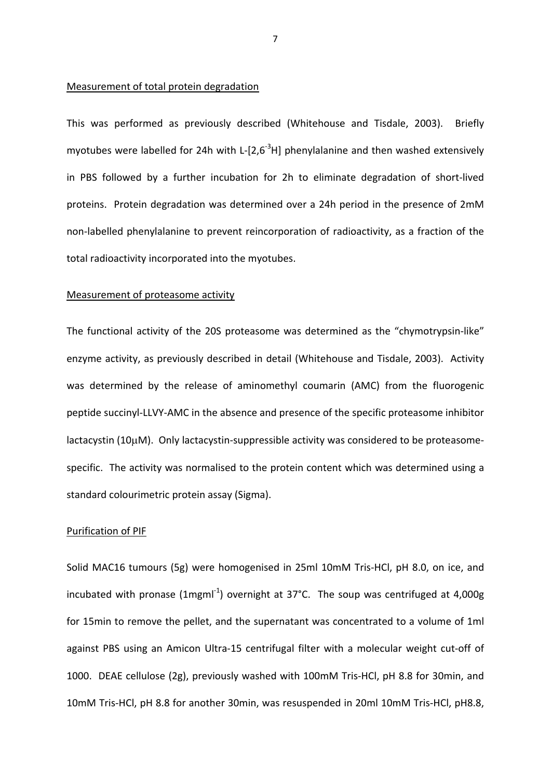# Measurement of total protein degradation

This was performed as previously described (Whitehouse and Tisdale, 2003). Briefly myotubes were labelled for 24h with L-[2,6<sup>-3</sup>H] phenylalanine and then washed extensively in PBS followed by a further incubation for 2h to eliminate degradation of short‐lived proteins. Protein degradation was determined over a 24h period in the presence of 2mM non‐labelled phenylalanine to prevent reincorporation of radioactivity, as a fraction of the total radioactivity incorporated into the myotubes.

#### Measurement of proteasome activity

The functional activity of the 20S proteasome was determined as the "chymotrypsin‐like" enzyme activity, as previously described in detail (Whitehouse and Tisdale, 2003). Activity was determined by the release of aminomethyl coumarin (AMC) from the fluorogenic peptide succinyl‐LLVY‐AMC in the absence and presence of the specific proteasome inhibitor lactacystin (10µM). Only lactacystin-suppressible activity was considered to be proteasomespecific. The activity was normalised to the protein content which was determined using a standard colourimetric protein assay (Sigma).

#### Purification of PIF

Solid MAC16 tumours (5g) were homogenised in 25ml 10mM Tris‐HCl, pH 8.0, on ice, and incubated with pronase (1mgm $I^{-1}$ ) overnight at 37°C. The soup was centrifuged at 4,000g for 15min to remove the pellet, and the supernatant was concentrated to a volume of 1ml against PBS using an Amicon Ultra‐15 centrifugal filter with a molecular weight cut‐off of 1000. DEAE cellulose (2g), previously washed with 100mM Tris‐HCl, pH 8.8 for 30min, and 10mM Tris‐HCl, pH 8.8 for another 30min, was resuspended in 20ml 10mM Tris‐HCl, pH8.8,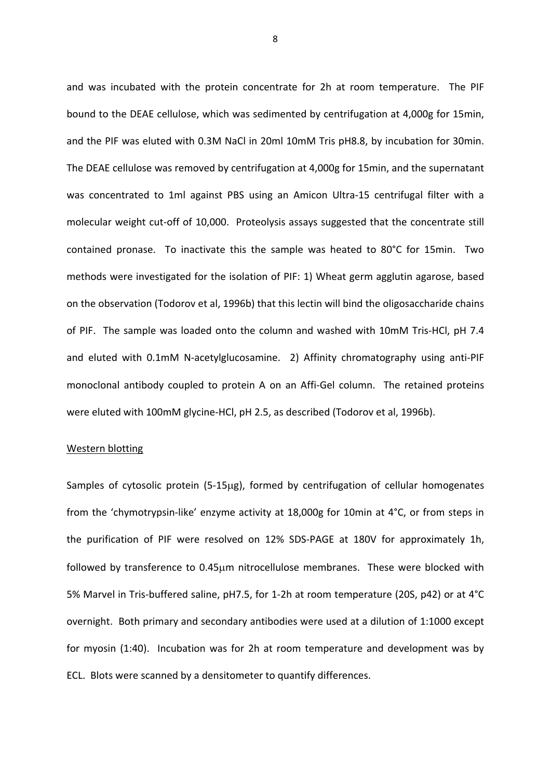and was incubated with the protein concentrate for 2h at room temperature. The PIF bound to the DEAE cellulose, which was sedimented by centrifugation at 4,000g for 15min, and the PIF was eluted with 0.3M NaCl in 20ml 10mM Tris pH8.8, by incubation for 30min. The DEAE cellulose was removed by centrifugation at 4,000g for 15min, and the supernatant was concentrated to 1ml against PBS using an Amicon Ultra-15 centrifugal filter with a molecular weight cut‐off of 10,000. Proteolysis assays suggested that the concentrate still contained pronase. To inactivate this the sample was heated to 80°C for 15min. Two methods were investigated for the isolation of PIF: 1) Wheat germ agglutin agarose, based on the observation (Todorov et al, 1996b) that this lectin will bind the oligosaccharide chains of PIF. The sample was loaded onto the column and washed with 10mM Tris‐HCl, pH 7.4 and eluted with 0.1mM N-acetylglucosamine. 2) Affinity chromatography using anti-PIF monoclonal antibody coupled to protein A on an Affi-Gel column. The retained proteins were eluted with 100mM glycine-HCl, pH 2.5, as described (Todorov et al, 1996b).

#### Western blotting

Samples of cytosolic protein (5-15µg), formed by centrifugation of cellular homogenates from the 'chymotrypsin‐like' enzyme activity at 18,000g for 10min at 4°C, or from steps in the purification of PIF were resolved on 12% SDS‐PAGE at 180V for approximately 1h, followed by transference to 0.45µm nitrocellulose membranes. These were blocked with 5% Marvel in Tris‐buffered saline, pH7.5, for 1‐2h at room temperature (20S, p42) or at 4°C overnight. Both primary and secondary antibodies were used at a dilution of 1:1000 except for myosin (1:40). Incubation was for 2h at room temperature and development was by ECL. Blots were scanned by a densitometer to quantify differences.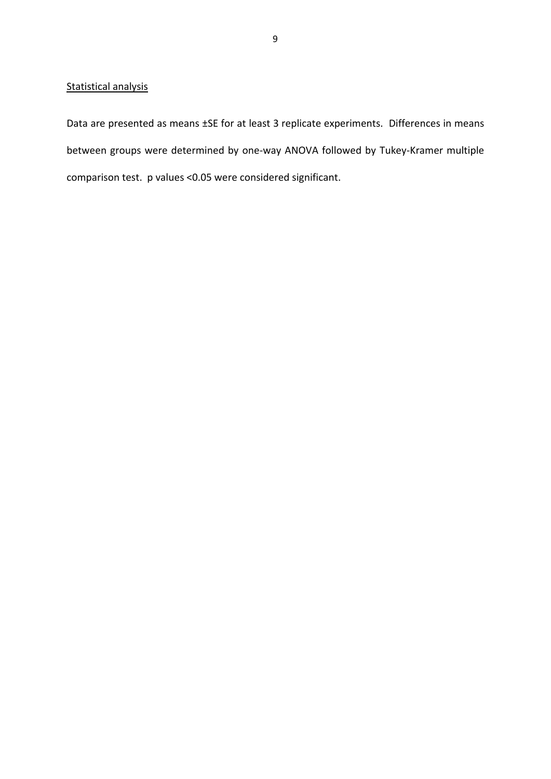# Statistical analysis

Data are presented as means ±SE for at least 3 replicate experiments. Differences in means between groups were determined by one‐way ANOVA followed by Tukey‐Kramer multiple comparison test. p values <0.05 were considered significant.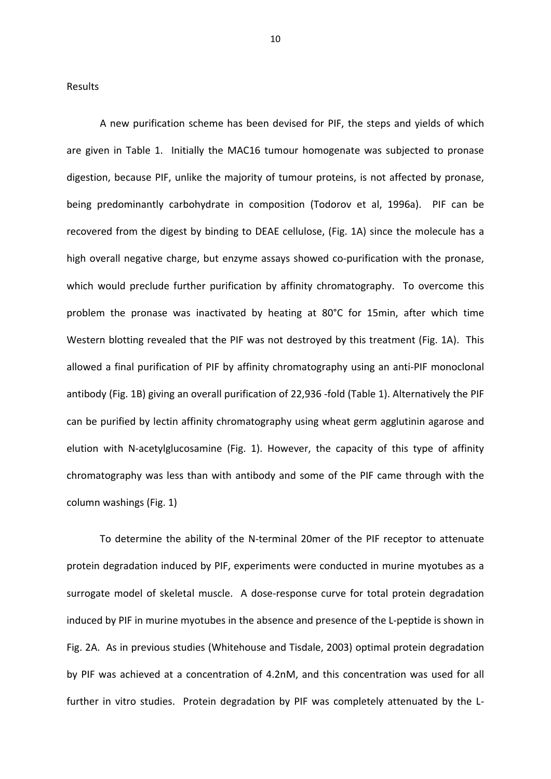Results

A new purification scheme has been devised for PIF, the steps and yields of which are given in Table 1. Initially the MAC16 tumour homogenate was subjected to pronase digestion, because PIF, unlike the majority of tumour proteins, is not affected by pronase, being predominantly carbohydrate in composition (Todorov et al, 1996a). PIF can be recovered from the digest by binding to DEAE cellulose, (Fig. 1A) since the molecule has a high overall negative charge, but enzyme assays showed co-purification with the pronase, which would preclude further purification by affinity chromatography. To overcome this problem the pronase was inactivated by heating at 80°C for 15min, after which time Western blotting revealed that the PIF was not destroyed by this treatment (Fig. 1A). This allowed a final purification of PIF by affinity chromatography using an anti‐PIF monoclonal antibody (Fig. 1B) giving an overall purification of 22,936 ‐fold (Table 1). Alternatively the PIF can be purified by lectin affinity chromatography using wheat germ agglutinin agarose and elution with N‐acetylglucosamine (Fig. 1). However, the capacity of this type of affinity chromatography was less than with antibody and some of the PIF came through with the column washings (Fig. 1)

To determine the ability of the N-terminal 20mer of the PIF receptor to attenuate protein degradation induced by PIF, experiments were conducted in murine myotubes as a surrogate model of skeletal muscle. A dose‐response curve for total protein degradation induced by PIF in murine myotubes in the absence and presence of the L‐peptide is shown in Fig. 2A. As in previous studies (Whitehouse and Tisdale, 2003) optimal protein degradation by PIF was achieved at a concentration of 4.2nM, and this concentration was used for all further in vitro studies. Protein degradation by PIF was completely attenuated by the L-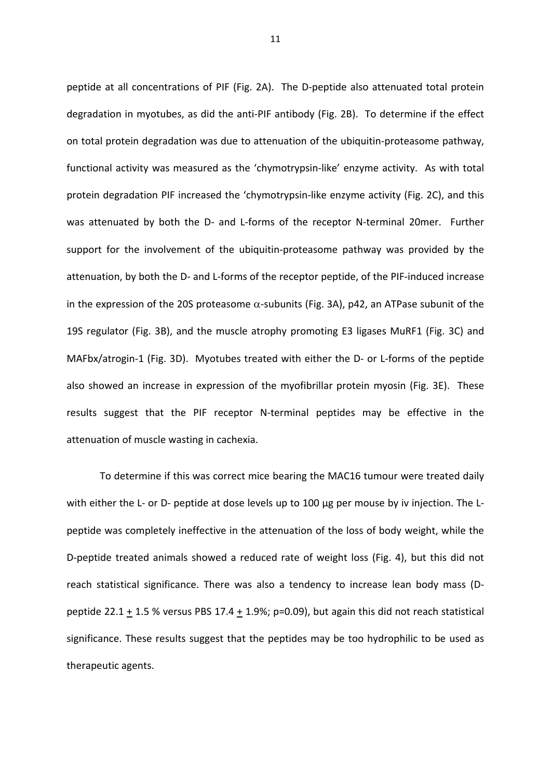peptide at all concentrations of PIF (Fig. 2A). The D-peptide also attenuated total protein degradation in myotubes, as did the anti‐PIF antibody (Fig. 2B). To determine if the effect on total protein degradation was due to attenuation of the ubiquitin‐proteasome pathway, functional activity was measured as the 'chymotrypsin‐like' enzyme activity. As with total protein degradation PIF increased the 'chymotrypsin‐like enzyme activity (Fig. 2C), and this was attenuated by both the D- and L-forms of the receptor N-terminal 20mer. Further support for the involvement of the ubiquitin‐proteasome pathway was provided by the attenuation, by both the D‐ and L‐forms of the receptor peptide, of the PIF‐induced increase in the expression of the 20S proteasome  $\alpha$ -subunits (Fig. 3A), p42, an ATPase subunit of the 19S regulator (Fig. 3B), and the muscle atrophy promoting E3 ligases MuRF1 (Fig. 3C) and MAFbx/atrogin-1 (Fig. 3D). Myotubes treated with either the D- or L-forms of the peptide also showed an increase in expression of the myofibrillar protein myosin (Fig. 3E). These results suggest that the PIF receptor N‐terminal peptides may be effective in the attenuation of muscle wasting in cachexia.

To determine if this was correct mice bearing the MAC16 tumour were treated daily with either the L- or D- peptide at dose levels up to 100 µg per mouse by iv injection. The Lpeptide was completely ineffective in the attenuation of the loss of body weight, while the D-peptide treated animals showed a reduced rate of weight loss (Fig. 4), but this did not reach statistical significance. There was also a tendency to increase lean body mass (D‐ peptide 22.1 + 1.5 % versus PBS 17.4 + 1.9%; p=0.09), but again this did not reach statistical significance. These results suggest that the peptides may be too hydrophilic to be used as therapeutic agents.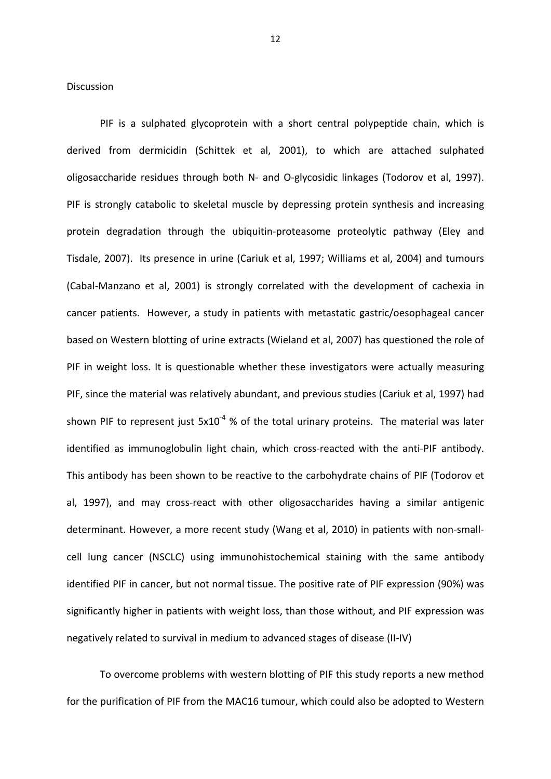Discussion

PIF is a sulphated glycoprotein with a short central polypeptide chain, which is derived from dermicidin (Schittek et al, 2001), to which are attached sulphated oligosaccharide residues through both N‐ and O‐glycosidic linkages (Todorov et al, 1997). PIF is strongly catabolic to skeletal muscle by depressing protein synthesis and increasing protein degradation through the ubiquitin‐proteasome proteolytic pathway (Eley and Tisdale, 2007). Its presence in urine (Cariuk et al, 1997; Williams et al, 2004) and tumours (Cabal‐Manzano et al, 2001) is strongly correlated with the development of cachexia in cancer patients. However, a study in patients with metastatic gastric/oesophageal cancer based on Western blotting of urine extracts (Wieland et al, 2007) has questioned the role of PIF in weight loss. It is questionable whether these investigators were actually measuring PIF, since the material was relatively abundant, and previous studies (Cariuk et al, 1997) had shown PIF to represent just  $5x10^{-4}$  % of the total urinary proteins. The material was later identified as immunoglobulin light chain, which cross-reacted with the anti-PIF antibody. This antibody has been shown to be reactive to the carbohydrate chains of PIF (Todorov et al, 1997), and may cross-react with other oligosaccharides having a similar antigenic determinant. However, a more recent study (Wang et al, 2010) in patients with non‐small‐ cell lung cancer (NSCLC) using immunohistochemical staining with the same antibody identified PIF in cancer, but not normal tissue. The positive rate of PIF expression (90%) was significantly higher in patients with weight loss, than those without, and PIF expression was negatively related to survival in medium to advanced stages of disease (II‐IV)

To overcome problems with western blotting of PIF this study reports a new method for the purification of PIF from the MAC16 tumour, which could also be adopted to Western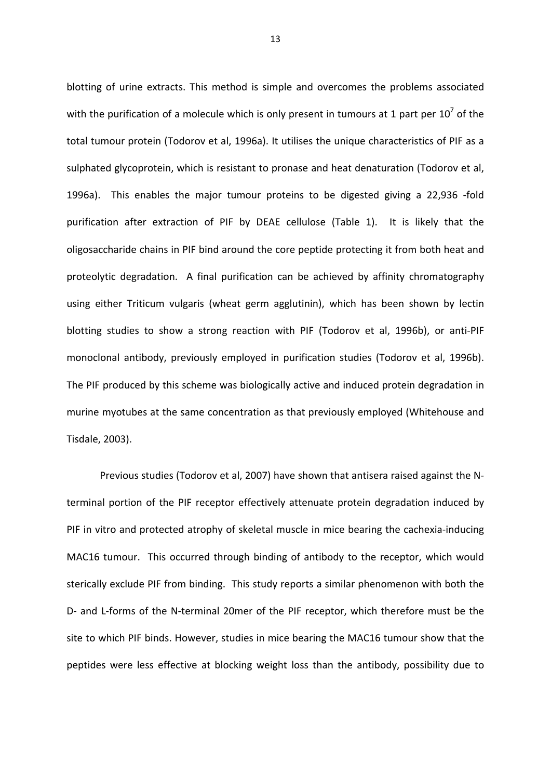blotting of urine extracts. This method is simple and overcomes the problems associated with the purification of a molecule which is only present in tumours at 1 part per  $10^7$  of the total tumour protein (Todorov et al, 1996a). It utilises the unique characteristics of PIF as a sulphated glycoprotein, which is resistant to pronase and heat denaturation (Todorov et al, 1996a). This enables the major tumour proteins to be digested giving a 22,936 -fold purification after extraction of PIF by DEAE cellulose (Table 1). It is likely that the oligosaccharide chains in PIF bind around the core peptide protecting it from both heat and proteolytic degradation. A final purification can be achieved by affinity chromatography using either Triticum vulgaris (wheat germ agglutinin), which has been shown by lectin blotting studies to show a strong reaction with PIF (Todorov et al, 1996b), or anti‐PIF monoclonal antibody, previously employed in purification studies (Todorov et al, 1996b). The PIF produced by this scheme was biologically active and induced protein degradation in murine myotubes at the same concentration as that previously employed (Whitehouse and Tisdale, 2003).

Previous studies (Todorov et al, 2007) have shown that antisera raised against the N‐ terminal portion of the PIF receptor effectively attenuate protein degradation induced by PIF in vitro and protected atrophy of skeletal muscle in mice bearing the cachexia‐inducing MAC16 tumour. This occurred through binding of antibody to the receptor, which would sterically exclude PIF from binding. This study reports a similar phenomenon with both the D- and L-forms of the N-terminal 20mer of the PIF receptor, which therefore must be the site to which PIF binds. However, studies in mice bearing the MAC16 tumour show that the peptides were less effective at blocking weight loss than the antibody, possibility due to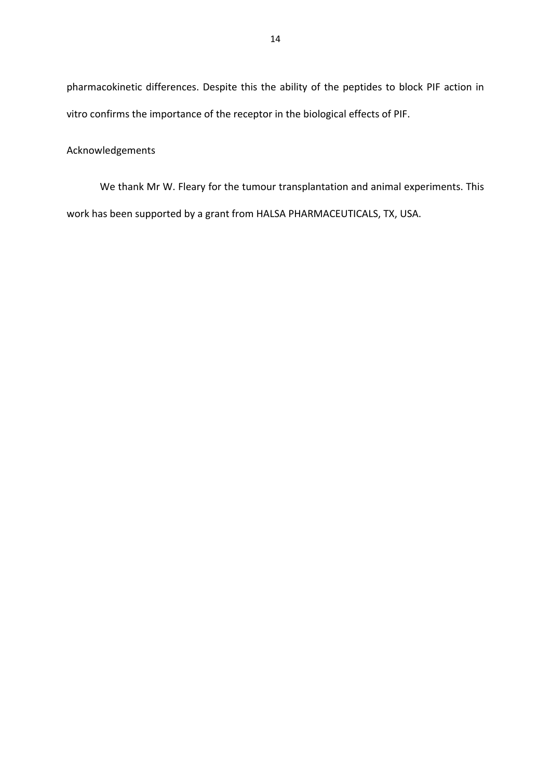pharmacokinetic differences. Despite this the ability of the peptides to block PIF action in vitro confirms the importance of the receptor in the biological effects of PIF.

# Acknowledgements

We thank Mr W. Fleary for the tumour transplantation and animal experiments. This work has been supported by a grant from HALSA PHARMACEUTICALS, TX, USA.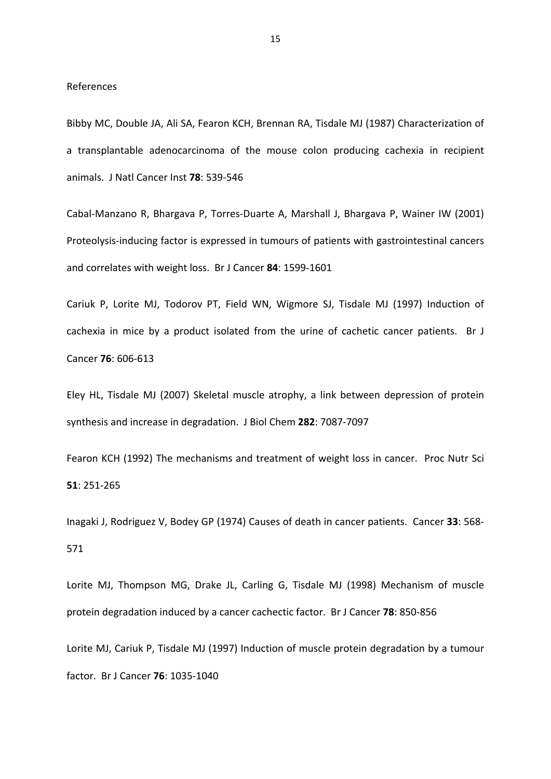# References

Bibby MC, Double JA, Ali SA, Fearon KCH, Brennan RA, Tisdale MJ (1987) Characterization of a transplantable adenocarcinoma of the mouse colon producing cachexia in recipient animals. J Natl Cancer Inst **78**: 539‐546

Cabal‐Manzano R, Bhargava P, Torres‐Duarte A, Marshall J, Bhargava P, Wainer IW (2001) Proteolysis‐inducing factor is expressed in tumours of patients with gastrointestinal cancers and correlates with weight loss. Br J Cancer **84**: 1599‐1601

Cariuk P, Lorite MJ, Todorov PT, Field WN, Wigmore SJ, Tisdale MJ (1997) Induction of cachexia in mice by a product isolated from the urine of cachetic cancer patients. Br J Cancer **76**: 606‐613

Eley HL, Tisdale MJ (2007) Skeletal muscle atrophy, a link between depression of protein synthesis and increase in degradation. J Biol Chem **282**: 7087‐7097

Fearon KCH (1992) The mechanisms and treatment of weight loss in cancer. Proc Nutr Sci **51**: 251‐265

Inagaki J, Rodriguez V, Bodey GP (1974) Causes of death in cancer patients. Cancer **33**: 568‐ 571

Lorite MJ, Thompson MG, Drake JL, Carling G, Tisdale MJ (1998) Mechanism of muscle protein degradation induced by a cancer cachectic factor. Br J Cancer **78**: 850‐856

Lorite MJ, Cariuk P, Tisdale MJ (1997) Induction of muscle protein degradation by a tumour factor. Br J Cancer **76**: 1035‐1040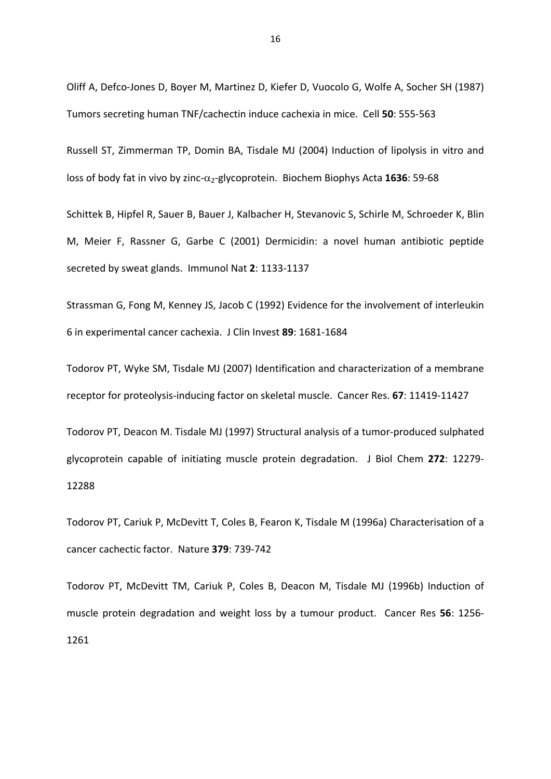Oliff A, Defco‐Jones D, Boyer M, Martinez D, Kiefer D, Vuocolo G, Wolfe A, Socher SH (1987) Tumors secreting human TNF/cachectin induce cachexia in mice. Cell **50**: 555‐563

Russell ST, Zimmerman TP, Domin BA, Tisdale MJ (2004) Induction of lipolysis in vitro and loss of body fat in vivo by zinc-α<sub>2</sub>-glycoprotein. Biochem Biophys Acta 1636: 59-68

Schittek B, Hipfel R, Sauer B, Bauer J, Kalbacher H, Stevanovic S, Schirle M, Schroeder K, Blin M, Meier F, Rassner G, Garbe C (2001) Dermicidin: a novel human antibiotic peptide secreted by sweat glands. Immunol Nat **2**: 1133‐1137

Strassman G, Fong M, Kenney JS, Jacob C (1992) Evidence for the involvement of interleukin 6 in experimental cancer cachexia. J Clin Invest **89**: 1681‐1684

Todorov PT, Wyke SM, Tisdale MJ (2007) Identification and characterization of a membrane receptor for proteolysis‐inducing factor on skeletal muscle. Cancer Res. **67**: 11419‐11427

Todorov PT, Deacon M. Tisdale MJ (1997) Structural analysis of a tumor‐produced sulphated glycoprotein capable of initiating muscle protein degradation. J Biol Chem **272**: 12279‐ 12288

Todorov PT, Cariuk P, McDevitt T, Coles B, Fearon K, Tisdale M (1996a) Characterisation of a cancer cachectic factor. Nature **379**: 739‐742

Todorov PT, McDevitt TM, Cariuk P, Coles B, Deacon M, Tisdale MJ (1996b) Induction of muscle protein degradation and weight loss by a tumour product. Cancer Res **56**: 1256‐ 1261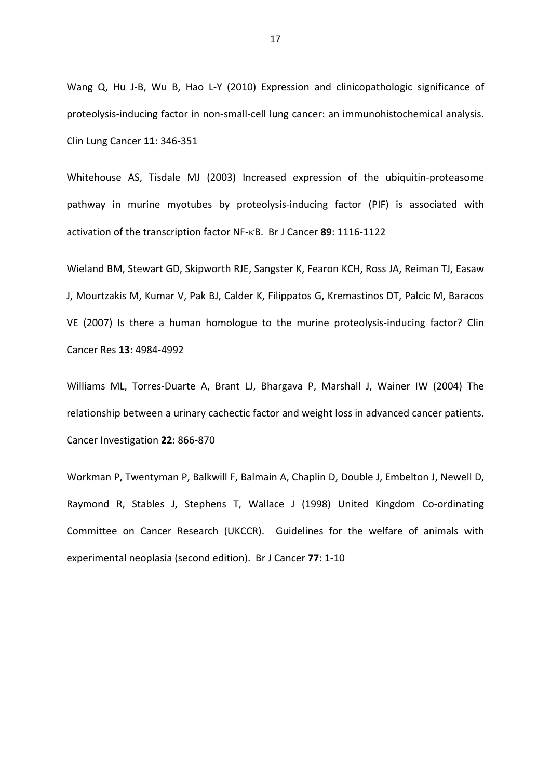Wang Q, Hu J-B, Wu B, Hao L-Y (2010) Expression and clinicopathologic significance of proteolysis‐inducing factor in non‐small‐cell lung cancer: an immunohistochemical analysis. Clin Lung Cancer **11**: 346‐351

Whitehouse AS, Tisdale MJ (2003) Increased expression of the ubiquitin-proteasome pathway in murine myotubes by proteolysis-inducing factor (PIF) is associated with activation of the transcription factor NF-KB. Br J Cancer 89: 1116-1122

Wieland BM, Stewart GD, Skipworth RJE, Sangster K, Fearon KCH, Ross JA, Reiman TJ, Easaw J, Mourtzakis M, Kumar V, Pak BJ, Calder K, Filippatos G, Kremastinos DT, Palcic M, Baracos VE (2007) Is there a human homologue to the murine proteolysis‐inducing factor? Clin Cancer Res **13**: 4984‐4992

Williams ML, Torres-Duarte A, Brant LJ, Bhargava P, Marshall J, Wainer IW (2004) The relationship between a urinary cachectic factor and weight loss in advanced cancer patients. Cancer Investigation **22**: 866‐870

Workman P, Twentyman P, Balkwill F, Balmain A, Chaplin D, Double J, Embelton J, Newell D, Raymond R, Stables J, Stephens T, Wallace J (1998) United Kingdom Co-ordinating Committee on Cancer Research (UKCCR). Guidelines for the welfare of animals with experimental neoplasia (second edition). Br J Cancer **77**: 1‐10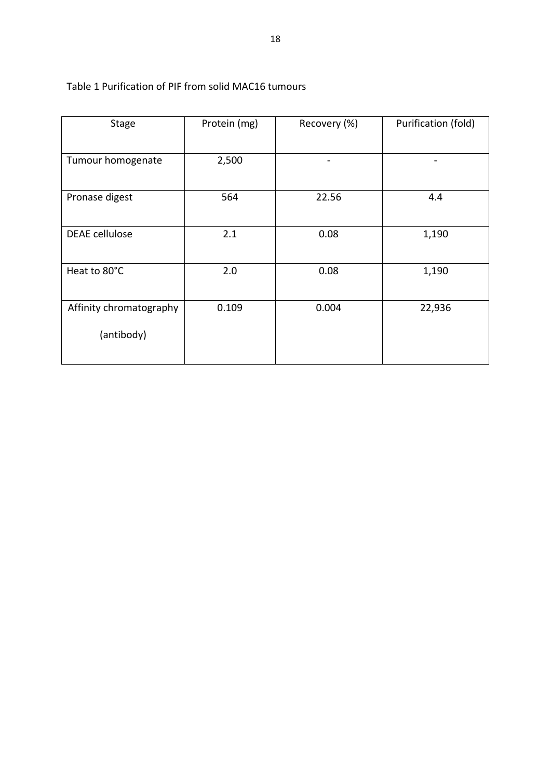| <b>Stage</b>                          | Protein (mg) | Recovery (%) | Purification (fold) |
|---------------------------------------|--------------|--------------|---------------------|
| Tumour homogenate                     | 2,500        |              |                     |
| Pronase digest                        | 564          | 22.56        | 4.4                 |
| <b>DEAE</b> cellulose                 | 2.1          | 0.08         | 1,190               |
| Heat to 80°C                          | 2.0          | 0.08         | 1,190               |
| Affinity chromatography<br>(antibody) | 0.109        | 0.004        | 22,936              |

# Table 1 Purification of PIF from solid MAC16 tumours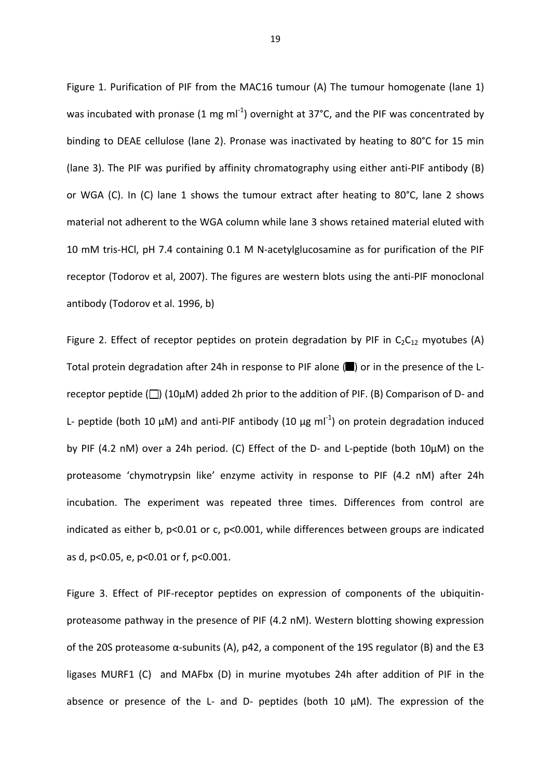Figure 1. Purification of PIF from the MAC16 tumour (A) The tumour homogenate (lane 1) was incubated with pronase (1 mg ml<sup>-1</sup>) overnight at 37°C, and the PIF was concentrated by binding to DEAE cellulose (lane 2). Pronase was inactivated by heating to 80°C for 15 min (lane 3). The PIF was purified by affinity chromatography using either anti‐PIF antibody (B) or WGA (C). In (C) lane 1 shows the tumour extract after heating to 80°C, lane 2 shows material not adherent to the WGA column while lane 3 shows retained material eluted with 10 mM tris‐HCl, pH 7.4 containing 0.1 M N‐acetylglucosamine as for purification of the PIF receptor (Todorov et al, 2007). The figures are western blots using the anti‐PIF monoclonal antibody (Todorov et al. 1996, b)

Figure 2. Effect of receptor peptides on protein degradation by PIF in  $C_2C_{12}$  myotubes (A) Total protein degradation after 24h in response to PIF alone (■) or in the presence of the Lreceptor peptide ( $\Box$ ) (10 $\mu$ M) added 2h prior to the addition of PIF. (B) Comparison of D- and L- peptide (both 10  $\mu$ M) and anti-PIF antibody (10  $\mu$ g ml<sup>-1</sup>) on protein degradation induced by PIF (4.2 nM) over a 24h period. (C) Effect of the D‐ and L‐peptide (both 10µM) on the proteasome 'chymotrypsin like' enzyme activity in response to PIF (4.2 nM) after 24h incubation. The experiment was repeated three times. Differences from control are indicated as either b, p<0.01 or c, p<0.001, while differences between groups are indicated as d, p<0.05, e, p<0.01 or f, p<0.001.

Figure 3. Effect of PIF-receptor peptides on expression of components of the ubiquitinproteasome pathway in the presence of PIF (4.2 nM). Western blotting showing expression of the 20S proteasome  $\alpha$ -subunits (A), p42, a component of the 19S regulator (B) and the E3 ligases MURF1 (C) and MAFbx (D) in murine myotubes 24h after addition of PIF in the absence or presence of the L- and D- peptides (both 10  $\mu$ M). The expression of the